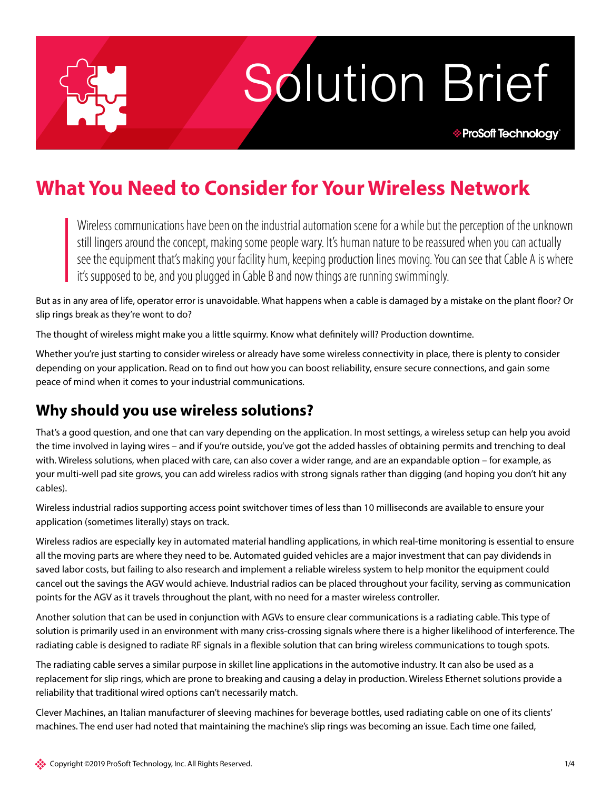Solution Brief

**\* ProSoft Technology** 

# **What You Need to Consider for Your Wireless Network**

Wireless communications have been on the industrial automation scene for a while but the perception of the unknown still lingers around the concept, making some people wary. It's human nature to be reassured when you can actually see the equipment that's making your facility hum, keeping production lines moving. You can see that Cable A is where it's supposed to be, and you plugged in Cable B and now things are running swimmingly.

But as in any area of life, operator error is unavoidable. What happens when a cable is damaged by a mistake on the plant floor? Or slip rings break as they're wont to do?

The thought of wireless might make you a little squirmy. Know what definitely will? Production downtime.

Whether you're just starting to consider wireless or already have some wireless connectivity in place, there is plenty to consider depending on your application. Read on to find out how you can boost reliability, ensure secure connections, and gain some peace of mind when it comes to your industrial communications.

## **Why should you use wireless solutions?**

That's a good question, and one that can vary depending on the application. In most settings, a wireless setup can help you avoid the time involved in laying wires – and if you're outside, you've got the added hassles of obtaining permits and trenching to deal with. Wireless solutions, when placed with care, can also cover a wider range, and are an expandable option – for example, as your multi-well pad site grows, you can add wireless radios with strong signals rather than digging (and hoping you don't hit any cables).

Wireless industrial radios supporting access point switchover times of less than 10 milliseconds are available to ensure your application (sometimes literally) stays on track.

Wireless radios are especially key in automated material handling applications, in which real-time monitoring is essential to ensure all the moving parts are where they need to be. Automated guided vehicles are a major investment that can pay dividends in saved labor costs, but failing to also research and implement a reliable wireless system to help monitor the equipment could cancel out the savings the AGV would achieve. Industrial radios can be placed throughout your facility, serving as communication points for the AGV as it travels throughout the plant, with no need for a master wireless controller.

Another solution that can be used in conjunction with AGVs to ensure clear communications is a radiating cable. This type of solution is primarily used in an environment with many criss-crossing signals where there is a higher likelihood of interference. The radiating cable is designed to radiate RF signals in a flexible solution that can bring wireless communications to tough spots.

The radiating cable serves a similar purpose in skillet line applications in the automotive industry. It can also be used as a replacement for slip rings, which are prone to breaking and causing a delay in production. Wireless Ethernet solutions provide a reliability that traditional wired options can't necessarily match.

Clever Machines, an Italian manufacturer of sleeving machines for beverage bottles, used radiating cable on one of its clients' machines. The end user had noted that maintaining the machine's slip rings was becoming an issue. Each time one failed,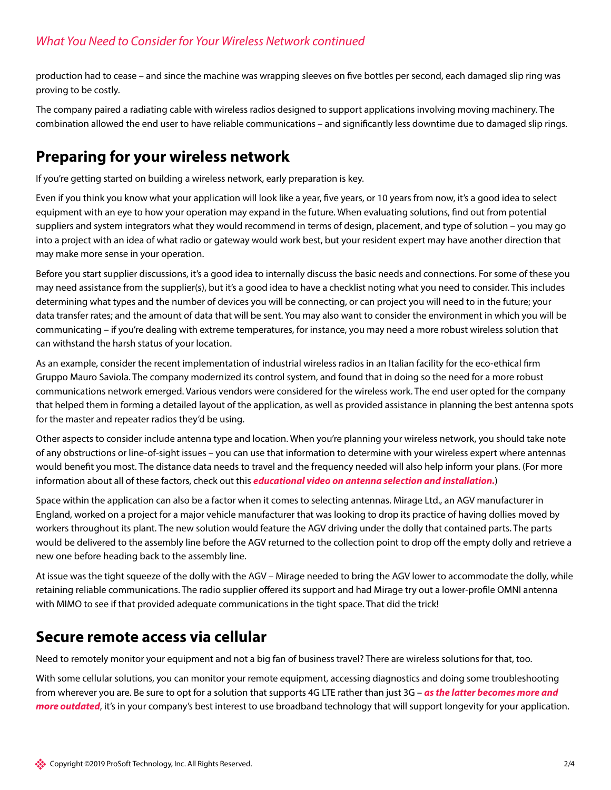production had to cease – and since the machine was wrapping sleeves on five bottles per second, each damaged slip ring was proving to be costly.

The company paired a radiating cable with wireless radios designed to support applications involving moving machinery. The combination allowed the end user to have reliable communications – and significantly less downtime due to damaged slip rings.

# **Preparing for your wireless network**

If you're getting started on building a wireless network, early preparation is key.

Even if you think you know what your application will look like a year, five years, or 10 years from now, it's a good idea to select equipment with an eye to how your operation may expand in the future. When evaluating solutions, find out from potential suppliers and system integrators what they would recommend in terms of design, placement, and type of solution – you may go into a project with an idea of what radio or gateway would work best, but your resident expert may have another direction that may make more sense in your operation.

Before you start supplier discussions, it's a good idea to internally discuss the basic needs and connections. For some of these you may need assistance from the supplier(s), but it's a good idea to have a checklist noting what you need to consider. This includes determining what types and the number of devices you will be connecting, or can project you will need to in the future; your data transfer rates; and the amount of data that will be sent. You may also want to consider the environment in which you will be communicating – if you're dealing with extreme temperatures, for instance, you may need a more robust wireless solution that can withstand the harsh status of your location.

As an example, consider the recent implementation of industrial wireless radios in an Italian facility for the eco-ethical firm Gruppo Mauro Saviola. The company modernized its control system, and found that in doing so the need for a more robust communications network emerged. Various vendors were considered for the wireless work. The end user opted for the company that helped them in forming a detailed layout of the application, as well as provided assistance in planning the best antenna spots for the master and repeater radios they'd be using.

Other aspects to consider include antenna type and location. When you're planning your wireless network, you should take note of any obstructions or line-of-sight issues – you can use that information to determine with your wireless expert where antennas would benefit you most. The distance data needs to travel and the frequency needed will also help inform your plans. (For more information about all of these factors, check out this *[educational video on antenna selection and installation](http://psft.com/CW0).*)

Space within the application can also be a factor when it comes to selecting antennas. Mirage Ltd., an AGV manufacturer in England, worked on a project for a major vehicle manufacturer that was looking to drop its practice of having dollies moved by workers throughout its plant. The new solution would feature the AGV driving under the dolly that contained parts. The parts would be delivered to the assembly line before the AGV returned to the collection point to drop off the empty dolly and retrieve a new one before heading back to the assembly line.

At issue was the tight squeeze of the dolly with the AGV – Mirage needed to bring the AGV lower to accommodate the dolly, while retaining reliable communications. The radio supplier offered its support and had Mirage try out a lower-profile OMNI antenna with MIMO to see if that provided adequate communications in the tight space. That did the trick!

## **Secure remote access via cellular**

Need to remotely monitor your equipment and not a big fan of business travel? There are wireless solutions for that, too.

With some cellular solutions, you can monitor your remote equipment, accessing diagnostics and doing some troubleshooting from wherever you are. Be sure to opt for a solution that supports 4G LTE rather than just 3G – *[as the latter becomes more and](http://www.prosoft-technology.com/Landing-Pages/Content/From-3G-to-4G-LTE)  [more outdated](http://www.prosoft-technology.com/Landing-Pages/Content/From-3G-to-4G-LTE)*, it's in your company's best interest to use broadband technology that will support longevity for your application.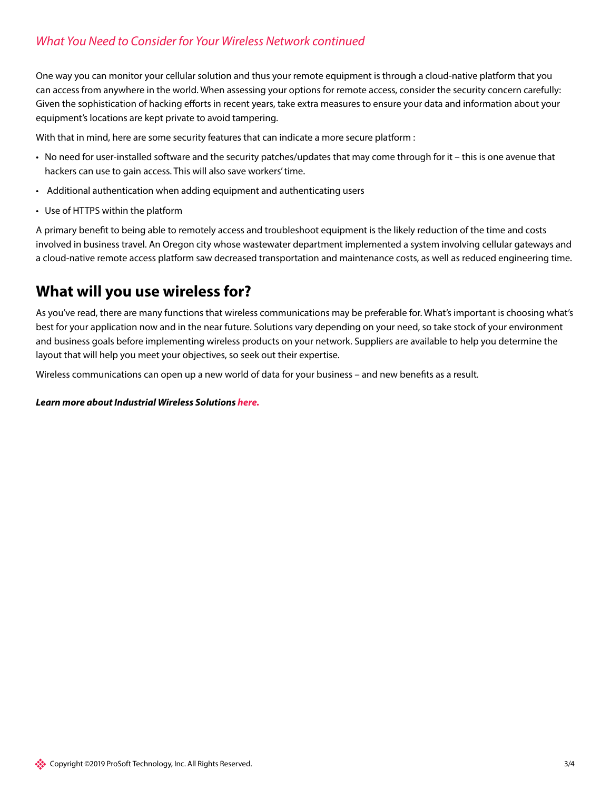## *What You Need to Consider for Your Wireless Network continued*

One way you can monitor your cellular solution and thus your remote equipment is through a cloud-native platform that you can access from anywhere in the world. When assessing your options for remote access, consider the security concern carefully: Given the sophistication of hacking efforts in recent years, take extra measures to ensure your data and information about your equipment's locations are kept private to avoid tampering.

With that in mind, here are some security features that can indicate a more secure platform :

- No need for user-installed software and the security patches/updates that may come through for it this is one avenue that hackers can use to gain access. This will also save workers' time.
- Additional authentication when adding equipment and authenticating users
- Use of HTTPS within the platform

A primary benefit to being able to remotely access and troubleshoot equipment is the likely reduction of the time and costs involved in business travel. An Oregon city whose wastewater department implemented a system involving cellular gateways and a cloud-native remote access platform saw decreased transportation and maintenance costs, as well as reduced engineering time.

## **What will you use wireless for?**

As you've read, there are many functions that wireless communications may be preferable for. What's important is choosing what's best for your application now and in the near future. Solutions vary depending on your need, so take stock of your environment and business goals before implementing wireless products on your network. Suppliers are available to help you determine the layout that will help you meet your objectives, so seek out their expertise.

Wireless communications can open up a new world of data for your business – and new benefits as a result.

*Learn more about Industrial Wireless Solutions [here](http://psft.com/CWT).*